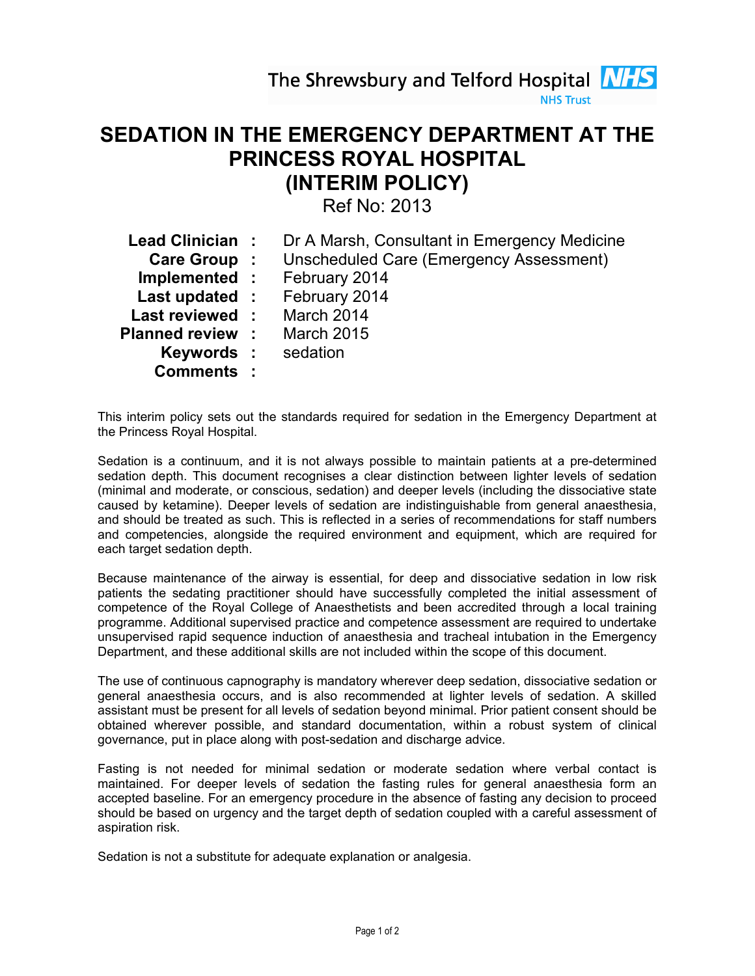The Shrewsbury and Telford Hospital **NHS** 



# SEDATION IN THE EMERGENCY DEPARTMENT AT THE PRINCESS ROYAL HOSPITAL (INTERIM POLICY)

Ref No: 2013

| Lead Clinician :          | Dr A Marsh, Consultant in Emergency Medicine                |
|---------------------------|-------------------------------------------------------------|
|                           | <b>Care Group :</b> Unscheduled Care (Emergency Assessment) |
|                           | <b>Implemented:</b> February 2014                           |
|                           | Last updated : February 2014                                |
| Last reviewed: March 2014 |                                                             |
| <b>Planned review :</b>   | <b>March 2015</b>                                           |
| <b>Keywords:</b> sedation |                                                             |
| <b>Comments:</b>          |                                                             |

This interim policy sets out the standards required for sedation in the Emergency Department at the Princess Royal Hospital.

Sedation is a continuum, and it is not always possible to maintain patients at a pre-determined sedation depth. This document recognises a clear distinction between lighter levels of sedation (minimal and moderate, or conscious, sedation) and deeper levels (including the dissociative state caused by ketamine). Deeper levels of sedation are indistinguishable from general anaesthesia, and should be treated as such. This is reflected in a series of recommendations for staff numbers and competencies, alongside the required environment and equipment, which are required for each target sedation depth.

Because maintenance of the airway is essential, for deep and dissociative sedation in low risk patients the sedating practitioner should have successfully completed the initial assessment of competence of the Royal College of Anaesthetists and been accredited through a local training programme. Additional supervised practice and competence assessment are required to undertake unsupervised rapid sequence induction of anaesthesia and tracheal intubation in the Emergency Department, and these additional skills are not included within the scope of this document.

The use of continuous capnography is mandatory wherever deep sedation, dissociative sedation or general anaesthesia occurs, and is also recommended at lighter levels of sedation. A skilled assistant must be present for all levels of sedation beyond minimal. Prior patient consent should be obtained wherever possible, and standard documentation, within a robust system of clinical governance, put in place along with post-sedation and discharge advice.

Fasting is not needed for minimal sedation or moderate sedation where verbal contact is maintained. For deeper levels of sedation the fasting rules for general anaesthesia form an accepted baseline. For an emergency procedure in the absence of fasting any decision to proceed should be based on urgency and the target depth of sedation coupled with a careful assessment of aspiration risk.

Sedation is not a substitute for adequate explanation or analgesia.